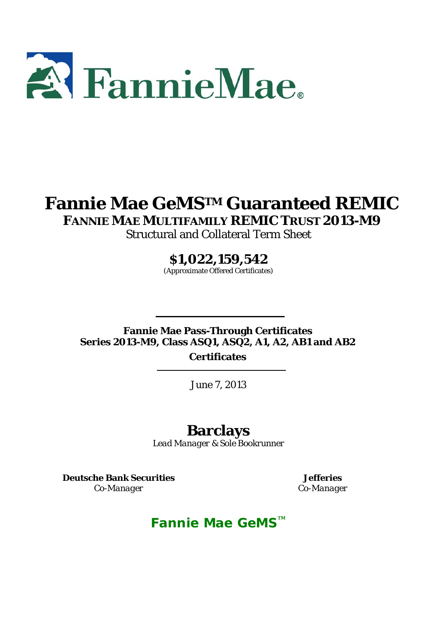

# **Fannie Mae GeMSTM Guaranteed REMIC**

**FANNIE MAE MULTIFAMILY REMIC TRUST 2013-M9** 

Structural and Collateral Term Sheet

**\$1,022,159,542** 

(Approximate Offered Certificates)

**Fannie Mae Pass-Through Certificates Series 2013-M9, Class ASQ1, ASQ2, A1, A2, AB1 and AB2** 

**Certificates** 

June 7, 2013

# **Barclays**

*Lead Manager & Sole Bookrunner* 

**Deutsche Bank Securities** 

*Co-Manager*

**Jefferies**  *Co-Manager*

# **Fannie Mae GeMS™**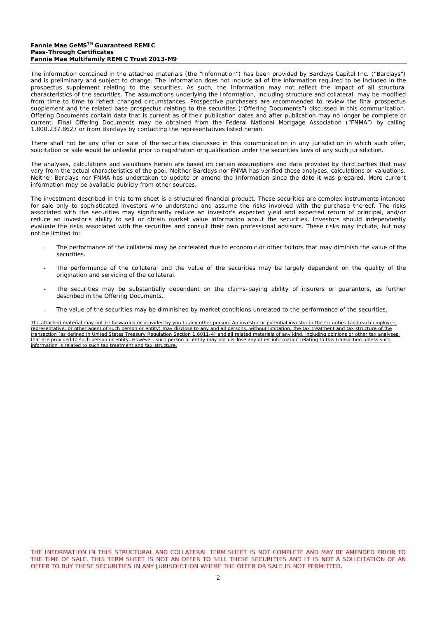#### **Fannie Mae GeMSTM Guaranteed REMIC Pass-Through Certificates Fannie Mae Multifamily REMIC Trust 2013-M9**

The information contained in the attached materials (the "Information") has been provided by Barclays Capital Inc. ("Barclays") and is preliminary and subject to change. The Information does not include all of the information required to be included in the prospectus supplement relating to the securities. As such, the Information may not reflect the impact of all structural characteristics of the securities. The assumptions underlying the Information, including structure and collateral, may be modified from time to time to reflect changed circumstances. Prospective purchasers are recommended to review the final prospectus supplement and the related base prospectus relating to the securities ("Offering Documents") discussed in this communication. Offering Documents contain data that is current as of their publication dates and after publication may no longer be complete or current. Final Offering Documents may be obtained from the Federal National Mortgage Association ("FNMA") by calling 1.800.237.8627 or from Barclays by contacting the representatives listed herein.

There shall not be any offer or sale of the securities discussed in this communication in any jurisdiction in which such offer, solicitation or sale would be unlawful prior to registration or qualification under the securities laws of any such jurisdiction.

The analyses, calculations and valuations herein are based on certain assumptions and data provided by third parties that may vary from the actual characteristics of the pool. Neither Barclays nor FNMA has verified these analyses, calculations or valuations. Neither Barclays nor FNMA has undertaken to update or amend the Information since the date it was prepared. More current information may be available publicly from other sources.

The investment described in this term sheet is a structured financial product. These securities are complex instruments intended for sale only to sophisticated investors who understand and assume the risks involved with the purchase thereof. The risks associated with the securities may significantly reduce an investor's expected yield and expected return of principal, and/or reduce an investor's ability to sell or obtain market value information about the securities. Investors should independently evaluate the risks associated with the securities and consult their own professional advisors. These risks may include, but may not be limited to:

- The performance of the collateral may be correlated due to economic or other factors that may diminish the value of the securities.
- The performance of the collateral and the value of the securities may be largely dependent on the quality of the origination and servicing of the collateral.
- The securities may be substantially dependent on the claims-paying ability of insurers or guarantors, as further described in the Offering Documents.
- The value of the securities may be diminished by market conditions unrelated to the performance of the securities.

The attached material may not be forwarded or provided by you to any other person. An investor or potential investor in the securities (and each employee, representative, or other agent of such person or entity) may disclose to any and all persons, without limitation, the tax treatment and tax structure of the transaction (as defined in United States Treasury Regulation Section 1.6011-4) and all related materials of any kind, including opinions or other tax analyses, that are provided to such person or entity. However, such person or entity may not disclose any other information relating to this transaction unless such information is related to such tax treatment and tax structure.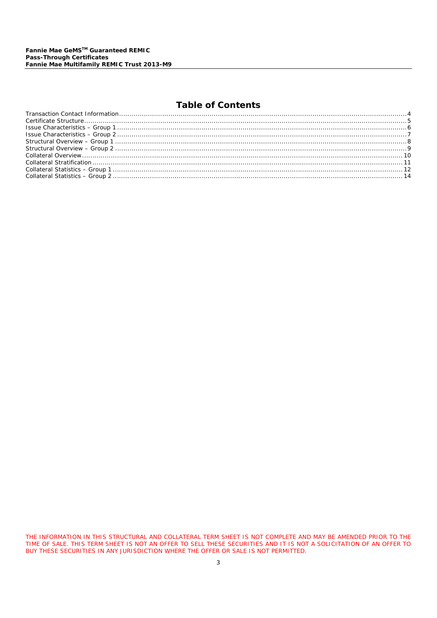# **Table of Contents**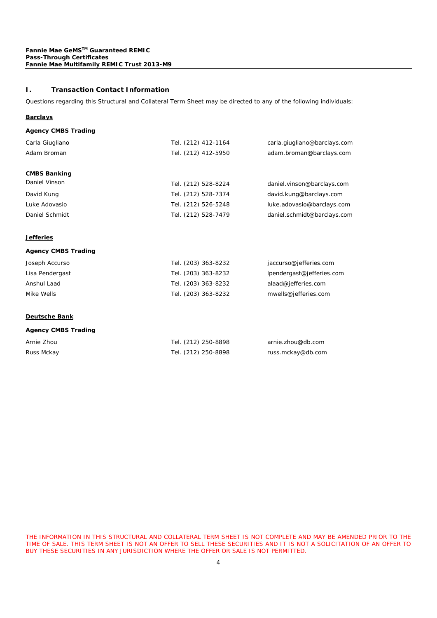# **I. Transaction Contact Information**

Questions regarding this Structural and Collateral Term Sheet may be directed to any of the following individuals:

#### **Barclays**

#### **Agency CMBS Trading**

| Tel. (212) 412-1164<br>Tel. (212) 412-5950 | carla.giugliano@barclays.com<br>adam.broman@barclays.com |
|--------------------------------------------|----------------------------------------------------------|
| Tel. (212) 528-8224                        | daniel.vinson@barclays.com                               |
| Tel. (212) 528-7374                        | david.kung@barclays.com                                  |
| Tel. (212) 526-5248                        | luke.adovasio@barclays.com                               |
| Tel. (212) 528-7479                        | daniel.schmidt@barclays.com                              |
|                                            |                                                          |

# **Jefferies**

#### **Agency CMBS Trading**

| Joseph Accurso  | Tel. (203) 363-8232 | jaccurso@jefferies.com    |
|-----------------|---------------------|---------------------------|
| Lisa Pendergast | Tel. (203) 363-8232 | lpendergast@jefferies.com |
| Anshul Laad     | Tel. (203) 363-8232 | alaad@jefferies.com       |
| Mike Wells      | Tel. (203) 363-8232 | mwells@jefferies.com      |

# **Deutsche Bank**

#### **Agency CMBS Trading**

| Arnie Zhou | Tel. (212) 250-8898 | arnie.zhou@db.com |
|------------|---------------------|-------------------|
| Russ Mckay | Tel. (212) 250-8898 | russ.mckay@db.com |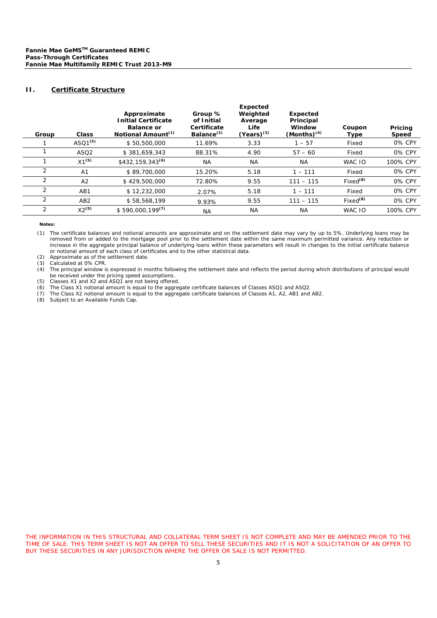### **II. Certificate Structure**

| Group | Class               | Approximate<br><b>Initial Certificate</b><br><b>Balance or</b><br>Notional Amount <sup>(1)</sup> | Group %<br>of Initial<br>Certificate<br>Balance <sup>(2)</sup> | <b>Expected</b><br>Weighted<br>Average<br>Life<br>$(Years)^{(3)}$ | <b>Expected</b><br>Principal<br>Window<br>$(Months)^{(4)}$ | Coupon<br>Type       | Pricing<br><b>Speed</b> |
|-------|---------------------|--------------------------------------------------------------------------------------------------|----------------------------------------------------------------|-------------------------------------------------------------------|------------------------------------------------------------|----------------------|-------------------------|
|       | ASQ1 <sup>(5)</sup> | \$50,500,000                                                                                     | 11.69%                                                         | 3.33                                                              | $-57$                                                      | Fixed                | 0% CPY                  |
|       | ASQ <sub>2</sub>    | \$381.659.343                                                                                    | 88.31%                                                         | 4.90                                                              | $57 - 60$                                                  | Fixed                | 0% CPY                  |
|       | $X1^{(5)}$          | $$432,159,343^{(6)}$                                                                             | <b>NA</b>                                                      | <b>NA</b>                                                         | <b>NA</b>                                                  | WAC IO               | 100% CPY                |
| 2     | A <sub>1</sub>      | \$89,700,000                                                                                     | 15.20%                                                         | 5.18                                                              | $1 - 111$                                                  | Fixed                | 0% CPY                  |
| 2     | A2                  | \$429,500,000                                                                                    | 72.80%                                                         | 9.55                                                              | $111 - 115$                                                | Fixed <sup>(8)</sup> | 0% CPY                  |
| 2     | AB1                 | \$12,232,000                                                                                     | 2.07%                                                          | 5.18                                                              | $1 - 111$                                                  | Fixed                | 0% CPY                  |
| 2     | AB <sub>2</sub>     | \$58,568,199                                                                                     | 9.93%                                                          | 9.55                                                              | $111 - 115$                                                | Fixed <sup>(8)</sup> | 0% CPY                  |
| 2     | $X2^{(5)}$          | $$590,000,199^{(7)}$                                                                             | <b>NA</b>                                                      | <b>NA</b>                                                         | <b>NA</b>                                                  | WAC IO               | 100% CPY                |

**Notes:** 

(1) The certificate balances and notional amounts are approximate and on the settlement date may vary by up to 5%. Underlying loans may be removed from or added to the mortgage pool prior to the settlement date within the same maximum permitted variance. Any reduction or increase in the aggregate principal balance of underlying loans within these parameters will result in changes to the initial certificate balance or notional amount of each class of certificates and to the other statistical data.

(2) Approximate as of the settlement date.

(3) Calculated at 0% CPR.

(4) The principal window is expressed in months following the settlement date and reflects the period during which distributions of principal would be received under the pricing speed assumptions.

(5) Classes X1 and X2 and ASQ1 are not being offered.

(6) The Class X1 notional amount is equal to the aggregate certificate balances of Classes ASQ1 and ASQ2.

(7) The Class X2 notional amount is equal to the aggregate certificate balances of Classes A1, A2, AB1 and AB2.

(8) Subject to an Available Funds Cap.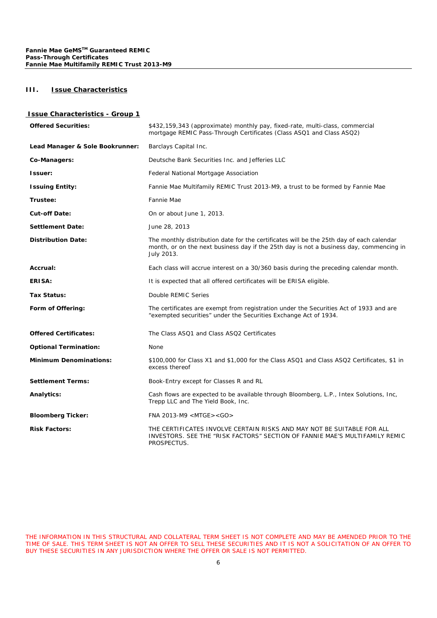## **III. Issue Characteristics**

# **Issue Characteristics - Group 1**

| <b>Offered Securities:</b>      | \$432,159,343 (approximate) monthly pay, fixed-rate, multi-class, commercial<br>mortgage REMIC Pass-Through Certificates (Class ASQ1 and Class ASQ2)                                              |  |
|---------------------------------|---------------------------------------------------------------------------------------------------------------------------------------------------------------------------------------------------|--|
| Lead Manager & Sole Bookrunner: | Barclays Capital Inc.                                                                                                                                                                             |  |
| Co-Managers:                    | Deutsche Bank Securities Inc. and Jefferies LLC                                                                                                                                                   |  |
| Issuer:                         | Federal National Mortgage Association                                                                                                                                                             |  |
| <b>Issuing Entity:</b>          | Fannie Mae Multifamily REMIC Trust 2013-M9, a trust to be formed by Fannie Mae                                                                                                                    |  |
| Trustee:                        | Fannie Mae                                                                                                                                                                                        |  |
| <b>Cut-off Date:</b>            | On or about June 1, 2013.                                                                                                                                                                         |  |
| <b>Settlement Date:</b>         | June 28, 2013                                                                                                                                                                                     |  |
| <b>Distribution Date:</b>       | The monthly distribution date for the certificates will be the 25th day of each calendar<br>month, or on the next business day if the 25th day is not a business day, commencing in<br>July 2013. |  |
| Accrual:                        | Each class will accrue interest on a 30/360 basis during the preceding calendar month.                                                                                                            |  |
| ERISA:                          | It is expected that all offered certificates will be ERISA eligible.                                                                                                                              |  |
| Tax Status:                     | Double REMIC Series                                                                                                                                                                               |  |
| Form of Offering:               | The certificates are exempt from registration under the Securities Act of 1933 and are<br>"exempted securities" under the Securities Exchange Act of 1934.                                        |  |
| <b>Offered Certificates:</b>    | The Class ASQ1 and Class ASQ2 Certificates                                                                                                                                                        |  |
| <b>Optional Termination:</b>    | None                                                                                                                                                                                              |  |
| <b>Minimum Denominations:</b>   | \$100,000 for Class X1 and \$1,000 for the Class ASQ1 and Class ASQ2 Certificates, \$1 in<br>excess thereof                                                                                       |  |
| <b>Settlement Terms:</b>        | Book-Entry except for Classes R and RL                                                                                                                                                            |  |
| Analytics:                      | Cash flows are expected to be available through Bloomberg, L.P., Intex Solutions, Inc,<br>Trepp LLC and The Yield Book, Inc.                                                                      |  |
| <b>Bloomberg Ticker:</b>        | FNA 2013-M9 <mtge><go></go></mtge>                                                                                                                                                                |  |
| <b>Risk Factors:</b>            | THE CERTIFICATES INVOLVE CERTAIN RISKS AND MAY NOT BE SUITABLE FOR ALL<br>INVESTORS. SEE THE "RISK FACTORS" SECTION OF FANNIE MAE'S MULTIFAMILY REMIC<br>PROSPECTUS.                              |  |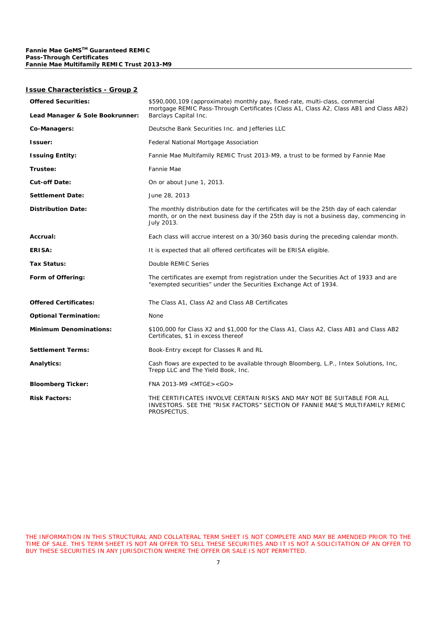#### **Issue Characteristics - Group 2**

| <b>Offered Securities:</b>      | \$590,000,109 (approximate) monthly pay, fixed-rate, multi-class, commercial<br>mortgage REMIC Pass-Through Certificates (Class A1, Class A2, Class AB1 and Class AB2)                            |  |
|---------------------------------|---------------------------------------------------------------------------------------------------------------------------------------------------------------------------------------------------|--|
| Lead Manager & Sole Bookrunner: | Barclays Capital Inc.                                                                                                                                                                             |  |
| Co-Managers:                    | Deutsche Bank Securities Inc. and Jefferies LLC                                                                                                                                                   |  |
| Issuer:                         | Federal National Mortgage Association                                                                                                                                                             |  |
| <b>Issuing Entity:</b>          | Fannie Mae Multifamily REMIC Trust 2013-M9, a trust to be formed by Fannie Mae                                                                                                                    |  |
| Trustee:                        | Fannie Mae                                                                                                                                                                                        |  |
| <b>Cut-off Date:</b>            | On or about June 1, 2013.                                                                                                                                                                         |  |
| <b>Settlement Date:</b>         | June 28, 2013                                                                                                                                                                                     |  |
| <b>Distribution Date:</b>       | The monthly distribution date for the certificates will be the 25th day of each calendar<br>month, or on the next business day if the 25th day is not a business day, commencing in<br>July 2013. |  |
| Accrual:                        | Each class will accrue interest on a 30/360 basis during the preceding calendar month.                                                                                                            |  |
| ERISA:                          | It is expected that all offered certificates will be ERISA eligible.                                                                                                                              |  |
| <b>Tax Status:</b>              | Double REMIC Series                                                                                                                                                                               |  |
| Form of Offering:               | The certificates are exempt from registration under the Securities Act of 1933 and are<br>"exempted securities" under the Securities Exchange Act of 1934.                                        |  |
| <b>Offered Certificates:</b>    | The Class A1, Class A2 and Class AB Certificates                                                                                                                                                  |  |
| <b>Optional Termination:</b>    | None                                                                                                                                                                                              |  |
| <b>Minimum Denominations:</b>   | \$100,000 for Class X2 and \$1,000 for the Class A1, Class A2, Class AB1 and Class AB2<br>Certificates, \$1 in excess thereof                                                                     |  |
| <b>Settlement Terms:</b>        | Book-Entry except for Classes R and RL                                                                                                                                                            |  |
| Analytics:                      | Cash flows are expected to be available through Bloomberg, L.P., Intex Solutions, Inc.<br>Trepp LLC and The Yield Book, Inc.                                                                      |  |
| <b>Bloomberg Ticker:</b>        | FNA 2013-M9 <mtge><go></go></mtge>                                                                                                                                                                |  |
| <b>Risk Factors:</b>            | THE CERTIFICATES INVOLVE CERTAIN RISKS AND MAY NOT BE SUITABLE FOR ALL<br>INVESTORS. SEE THE "RISK FACTORS" SECTION OF FANNIE MAE'S MULTIFAMILY REMIC<br>PROSPECTUS.                              |  |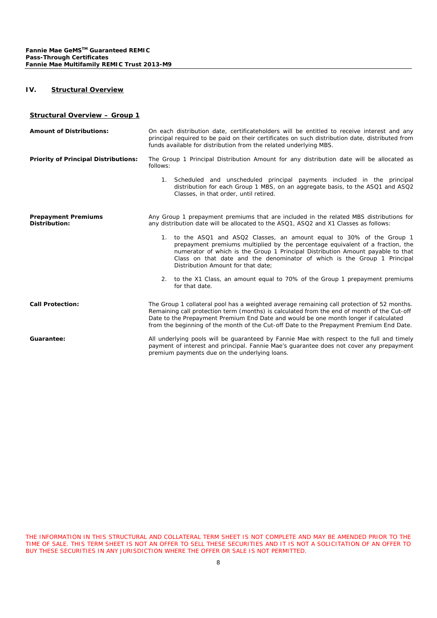# **IV. Structural Overview**

#### **Structural Overview – Group 1**

| <b>Amount of Distributions:</b>             | On each distribution date, certificateholders will be entitled to receive interest and any<br>principal required to be paid on their certificates on such distribution date, distributed from<br>funds available for distribution from the related underlying MBS.                                                                                                         |  |  |
|---------------------------------------------|----------------------------------------------------------------------------------------------------------------------------------------------------------------------------------------------------------------------------------------------------------------------------------------------------------------------------------------------------------------------------|--|--|
| <b>Priority of Principal Distributions:</b> | The Group 1 Principal Distribution Amount for any distribution date will be allocated as<br>follows:                                                                                                                                                                                                                                                                       |  |  |
|                                             | 1. Scheduled and unscheduled principal payments included in the principal<br>distribution for each Group 1 MBS, on an aggregate basis, to the ASQ1 and ASQ2<br>Classes, in that order, until retired.                                                                                                                                                                      |  |  |
| <b>Prepayment Premiums</b><br>Distribution: | Any Group 1 prepayment premiums that are included in the related MBS distributions for<br>any distribution date will be allocated to the ASQ1, ASQ2 and X1 Classes as follows:                                                                                                                                                                                             |  |  |
|                                             | 1. to the ASQ1 and ASQ2 Classes, an amount equal to 30% of the Group 1<br>prepayment premiums multiplied by the percentage equivalent of a fraction, the<br>numerator of which is the Group 1 Principal Distribution Amount payable to that<br>Class on that date and the denominator of which is the Group 1 Principal<br>Distribution Amount for that date:              |  |  |
|                                             | 2. to the X1 Class, an amount equal to 70% of the Group 1 prepayment premiums<br>for that date.                                                                                                                                                                                                                                                                            |  |  |
| <b>Call Protection:</b>                     | The Group 1 collateral pool has a weighted average remaining call protection of 52 months.<br>Remaining call protection term (months) is calculated from the end of month of the Cut-off<br>Date to the Prepayment Premium End Date and would be one month longer if calculated<br>from the beginning of the month of the Cut-off Date to the Prepayment Premium End Date. |  |  |
| Guarantee:                                  | All underlying pools will be guaranteed by Fannie Mae with respect to the full and timely<br>payment of interest and principal. Fannie Mae's quarantee does not cover any prepayment<br>premium payments due on the underlying loans.                                                                                                                                      |  |  |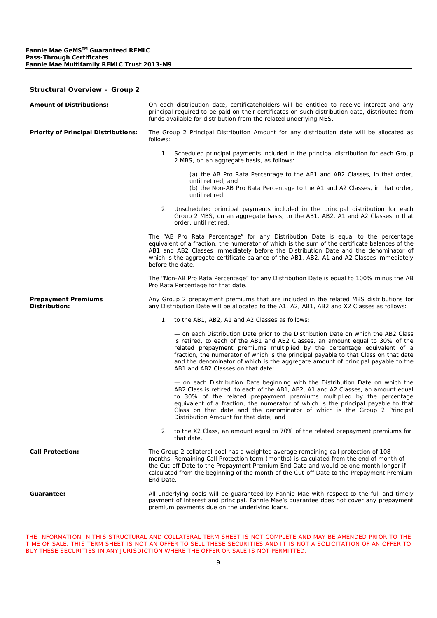#### **Structural Overview – Group 2**

| <b>Amount of Distributions:</b>             | On each distribution date, certificateholders will be entitled to receive interest and any<br>principal required to be paid on their certificates on such distribution date, distributed from<br>funds available for distribution from the related underlying MBS.                                                                                                                                                                                              |
|---------------------------------------------|-----------------------------------------------------------------------------------------------------------------------------------------------------------------------------------------------------------------------------------------------------------------------------------------------------------------------------------------------------------------------------------------------------------------------------------------------------------------|
| <b>Priority of Principal Distributions:</b> | The Group 2 Principal Distribution Amount for any distribution date will be allocated as<br>follows:                                                                                                                                                                                                                                                                                                                                                            |
|                                             | 1. Scheduled principal payments included in the principal distribution for each Group<br>2 MBS, on an aggregate basis, as follows:                                                                                                                                                                                                                                                                                                                              |
|                                             | (a) the AB Pro Rata Percentage to the AB1 and AB2 Classes, in that order,<br>until retired, and<br>(b) the Non-AB Pro Rata Percentage to the A1 and A2 Classes, in that order,<br>until retired.                                                                                                                                                                                                                                                                |
|                                             | 2. Unscheduled principal payments included in the principal distribution for each<br>Group 2 MBS, on an aggregate basis, to the AB1, AB2, A1 and A2 Classes in that<br>order, until retired.                                                                                                                                                                                                                                                                    |
|                                             | The "AB Pro Rata Percentage" for any Distribution Date is equal to the percentage<br>equivalent of a fraction, the numerator of which is the sum of the certificate balances of the<br>AB1 and AB2 Classes immediately before the Distribution Date and the denominator of<br>which is the aggregate certificate balance of the AB1, AB2, A1 and A2 Classes immediately<br>before the date.                                                                     |
|                                             | The "Non-AB Pro Rata Percentage" for any Distribution Date is equal to 100% minus the AB<br>Pro Rata Percentage for that date.                                                                                                                                                                                                                                                                                                                                  |
| <b>Prepayment Premiums</b><br>Distribution: | Any Group 2 prepayment premiums that are included in the related MBS distributions for<br>any Distribution Date will be allocated to the A1, A2, AB1, AB2 and X2 Classes as follows:                                                                                                                                                                                                                                                                            |
|                                             | 1. to the AB1, AB2, A1 and A2 Classes as follows:                                                                                                                                                                                                                                                                                                                                                                                                               |
|                                             | - on each Distribution Date prior to the Distribution Date on which the AB2 Class<br>is retired, to each of the AB1 and AB2 Classes, an amount equal to 30% of the<br>related prepayment premiums multiplied by the percentage equivalent of a<br>fraction, the numerator of which is the principal payable to that Class on that date<br>and the denominator of which is the aggregate amount of principal payable to the<br>AB1 and AB2 Classes on that date; |
|                                             | - on each Distribution Date beginning with the Distribution Date on which the<br>AB2 Class is retired, to each of the AB1, AB2, A1 and A2 Classes, an amount equal<br>to 30% of the related prepayment premiums multiplied by the percentage<br>equivalent of a fraction, the numerator of which is the principal payable to that<br>Class on that date and the denominator of which is the Group 2 Principal<br>Distribution Amount for that date; and         |
|                                             | 2. to the X2 Class, an amount equal to 70% of the related prepayment premiums for<br>that date.                                                                                                                                                                                                                                                                                                                                                                 |
| <b>Call Protection:</b>                     | The Group 2 collateral pool has a weighted average remaining call protection of 108<br>months. Remaining Call Protection term (months) is calculated from the end of month of<br>the Cut-off Date to the Prepayment Premium End Date and would be one month longer if<br>calculated from the beginning of the month of the Cut-off Date to the Prepayment Premium<br>End Date.                                                                                  |
| Guarantee:                                  | All underlying pools will be guaranteed by Fannie Mae with respect to the full and timely<br>payment of interest and principal. Fannie Mae's quarantee does not cover any prepayment<br>premium payments due on the underlying loans.                                                                                                                                                                                                                           |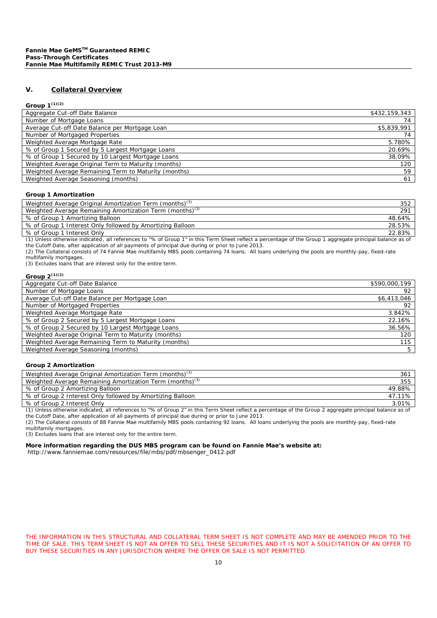### **V. Collateral Overview**

#### **Group 1(1)(2)**

| -----                                                |               |
|------------------------------------------------------|---------------|
| Aggregate Cut-off Date Balance                       | \$432,159,343 |
| Number of Mortgage Loans                             | 74            |
| Average Cut-off Date Balance per Mortgage Loan       | \$5,839,991   |
| Number of Mortgaged Properties                       | 74            |
| Weighted Average Mortgage Rate                       | 5.780%        |
| % of Group 1 Secured by 5 Largest Mortgage Loans     | 20.69%        |
| % of Group 1 Secured by 10 Largest Mortgage Loans    | 38.09%        |
| Weighted Average Original Term to Maturity (months)  | 120           |
| Weighted Average Remaining Term to Maturity (months) | 59            |
| Weighted Average Seasoning (months)                  | 61            |
|                                                      |               |

#### **Group 1 Amortization**

| Weighted Average Original Amortization Term (months) <sup>(3)</sup>  | 352             |
|----------------------------------------------------------------------|-----------------|
| Weighted Average Remaining Amortization Term (months) <sup>(3)</sup> | 29 <sup>1</sup> |
| % of Group 1 Amortizing Balloon                                      | 48.64%          |
| % of Group 1 Interest Only followed by Amortizing Balloon            | 28.53%          |
| % of Group 1 Interest Only                                           | 22.83%          |

(1) Unless otherwise indicated , all references to "% of Group 1" in this Term Sheet reflect a percentage of the Group 1 aggregate principal balance as of the Cutoff Date, after application of all payments of principal due during or prior to June 2013.

(2) The Collateral consists of 74 Fannie Mae multifamily MBS pools containing 74 loans. All loans underlying the pools are monthly-pay, fixed-rate multifamily mortgages.

(3) Excludes loans that are interest only for the entire term.

| Group $2^{(1)(2)}$                                   |               |
|------------------------------------------------------|---------------|
| Aggregate Cut-off Date Balance                       | \$590,000,199 |
| Number of Mortgage Loans                             | 92            |
| Average Cut-off Date Balance per Mortgage Loan       | \$6,413,046   |
| Number of Mortgaged Properties                       | 92            |
| Weighted Average Mortgage Rate                       | 3.842%        |
| % of Group 2 Secured by 5 Largest Mortgage Loans     | 22.16%        |
| % of Group 2 Secured by 10 Largest Mortgage Loans    | 36.56%        |
| Weighted Average Original Term to Maturity (months)  | 120           |
| Weighted Average Remaining Term to Maturity (months) | 115           |
| Weighted Average Seasoning (months)                  | 5             |

#### **Group 2 Amortization**

| Weighted Average Original Amortization Term (months) <sup>(3)</sup>  | 36 <sup>2</sup> |
|----------------------------------------------------------------------|-----------------|
| Weighted Average Remaining Amortization Term (months) <sup>(3)</sup> | 355             |
| % of Group 2 Amortizing Balloon                                      | 49.88%          |
| % of Group 2 Interest Only followed by Amortizing Balloon            | 47.11%          |
| % of Group 2 Interest Only                                           | $3.01\%$        |

(1) Unless otherwise indicated, all references to "% of Group 2" in this Term Sheet reflect a percentage of the Group 2 aggregate principal balance as of the Cutoff Date, after application of all payments of principal due during or prior to June 2013.

(2) The Collateral consists of 88 Fannie Mae multifamily MBS pools containing 92 loans. All loans underlying the pools are monthly-pay, fixed-rate multifamily mortgages.

(3) Excludes loans that are interest only for the entire term.

#### **More information regarding the DUS MBS program can be found on Fannie Mae's website at:**

http://www.fanniemae.com/resources/file/mbs/pdf/mbsenger\_0412.pdf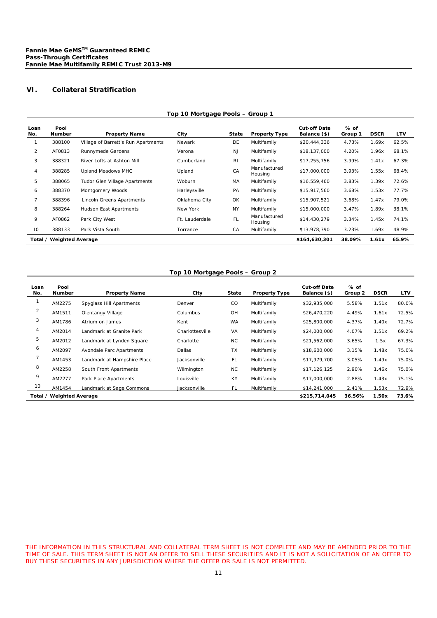# **VI. Collateral Stratification**

| Loan                                                         | Pool          |                                     |                |                |                         | <b>Cut-off Date</b> | % of    |             |            |
|--------------------------------------------------------------|---------------|-------------------------------------|----------------|----------------|-------------------------|---------------------|---------|-------------|------------|
| No.                                                          | <b>Number</b> | <b>Property Name</b>                | City           | <b>State</b>   | <b>Property Type</b>    | Balance (\$)        | Group 1 | <b>DSCR</b> | <b>LTV</b> |
|                                                              | 388100        | Village of Barrett's Run Apartments | Newark         | DE             | Multifamily             | \$20,444,336        | 4.73%   | 1.69x       | 62.5%      |
| $\overline{2}$                                               | AF0813        | Runnymede Gardens                   | Verona         | <b>NJ</b>      | Multifamily             | \$18,137,000        | 4.20%   | 1.96x       | 68.1%      |
| 3                                                            | 388321        | River Lofts at Ashton Mill          | Cumberland     | R <sub>l</sub> | Multifamily             | \$17,255,756        | 3.99%   | 1.41x       | 67.3%      |
| 4                                                            | 388285        | Upland Meadows MHC                  | Upland         | CA             | Manufactured<br>Housing | \$17,000,000        | 3.93%   | 1.55x       | 68.4%      |
| 5                                                            | 388065        | Tudor Glen Village Apartments       | Woburn         | МA             | Multifamily             | \$16,559,460        | 3.83%   | 1.39x       | 72.6%      |
| 6                                                            | 388370        | Montgomery Woods                    | Harleysville   | PA             | Multifamily             | \$15,917,560        | 3.68%   | 1.53x       | 77.7%      |
|                                                              | 388396        | Lincoln Greens Apartments           | Oklahoma City  | OK             | Multifamily             | \$15,907,521        | 3.68%   | 1.47x       | 79.0%      |
| 8                                                            | 388264        | Hudson East Apartments              | New York       | <b>NY</b>      | Multifamily             | \$15,000,000        | 3.47%   | 1.89x       | 38.1%      |
| 9                                                            | AF0862        | Park City West                      | Ft. Lauderdale | FL             | Manufactured<br>Housing | \$14,430,279        | 3.34%   | 1.45x       | 74.1%      |
| 10                                                           | 388133        | Park Vista South                    | Torrance       | CA             | Multifamily             | \$13,978,390        | 3.23%   | 1.69x       | 48.9%      |
| Total / Weighted Average<br>\$164,630,301<br>38.09%<br>1.61x |               |                                     |                |                |                         |                     |         |             | 65.9%      |

# **Top 10 Mortgage Pools – Group 1**

# **Top 10 Mortgage Pools – Group 2**

| Loan<br>No.              | Pool<br><b>Number</b> | <b>Property Name</b>        | City            | State         | <b>Property Type</b> | <b>Cut-off Date</b><br>Balance (\$) | % of<br>Group 2 | <b>DSCR</b> | LTV   |
|--------------------------|-----------------------|-----------------------------|-----------------|---------------|----------------------|-------------------------------------|-----------------|-------------|-------|
|                          | AM2275                | Spyglass Hill Apartments    | Denver          | <sub>CO</sub> | Multifamily          | \$32,935,000                        | 5.58%           | 1.51x       | 80.0% |
| 2                        | AM1511                | Olentangy Village           | Columbus        | OH            | Multifamily          | \$26,470,220                        | 4.49%           | 1.61x       | 72.5% |
| 3                        | AM1786                | Atrium on James             | Kent            | WA            | Multifamily          | \$25,800,000                        | 4.37%           | 1.40x       | 72.7% |
| 4                        | AM2014                | Landmark at Granite Park    | Charlottesville | VA            | Multifamily          | \$24,000,000                        | 4.07%           | 1.51x       | 69.2% |
| 5                        | AM2012                | Landmark at Lynden Square   | Charlotte       | NC            | Multifamily          | \$21,562,000                        | 3.65%           | 1.5x        | 67.3% |
| 6                        | AM2097                | Avondale Parc Apartments    | Dallas          | <b>TX</b>     | Multifamily          | \$18,600,000                        | 3.15%           | 1.48x       | 75.0% |
|                          | AM1453                | Landmark at Hampshire Place | Jacksonville    | FL.           | Multifamily          | \$17,979,700                        | 3.05%           | 1.49x       | 75.0% |
| 8                        | AM2258                | South Front Apartments      | Wilmington      | <b>NC</b>     | Multifamily          | \$17,126,125                        | 2.90%           | 1.46x       | 75.0% |
| 9                        | AM2277                | Park Place Apartments       | Louisville      | <b>KY</b>     | Multifamily          | \$17,000,000                        | 2.88%           | 1.43x       | 75.1% |
| 10                       | AM1454                | Landmark at Sage Commons    | Jacksonville    | FL.           | Multifamily          | \$14,241,000                        | 2.41%           | 1.53x       | 72.9% |
| Total / Weighted Average |                       |                             |                 |               |                      | \$215,714,045                       | 36.56%          | 1.50x       | 73.6% |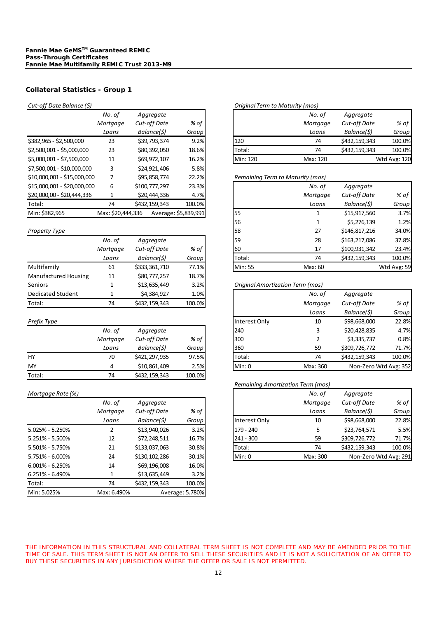# *Cut-off* Date Balance (\$)

|                             | No. of            | Aggregate     |                      |          | No. of                           | Aggregate           |              |
|-----------------------------|-------------------|---------------|----------------------|----------|----------------------------------|---------------------|--------------|
|                             | Mortgage          | Cut-off Date  | % of                 |          | Mortgage                         | <b>Cut-off Date</b> | % of         |
|                             | Loans             | Balance(\$)   | Group                |          | Loans                            | Balance(\$)         | Group        |
| \$382,965 - \$2,500,000     | 23                | \$39,793,374  | 9.2%                 | 120      | 74                               | \$432,159,343       | 100.0%       |
| \$2,500,001 - \$5,000,000   | 23                | \$80,392,050  | 18.6%                | Total:   | 74                               | \$432,159,343       | 100.0%       |
| \$5,000,001 - \$7,500,000   | 11                | \$69,972,107  | 16.2%                | Min: 120 | Max: 120                         |                     | Wtd Avg: 120 |
| \$7,500,001 - \$10,000,000  | 3                 | \$24,921,406  | 5.8%                 |          |                                  |                     |              |
| \$10,000,001 - \$15,000,000 | 7                 | \$95,858,774  | 22.2%                |          | Remaining Term to Maturity (mos) |                     |              |
| \$15,000,001 - \$20,000,000 | 6                 | \$100,777,297 | 23.3%                |          | No. of                           | Aggregate           |              |
| \$20,000,00 - \$20,444,336  |                   | \$20,444,336  | 4.7%                 |          | Mortgage                         | Cut-off Date        | % of         |
| Total:                      | 74                | \$432,159,343 | 100.0%               |          | Loans                            | Balance(\$)         | Group        |
| Min: \$382,965              | Max: \$20,444,336 |               | Average: \$5,839,991 | 55       |                                  | \$15,917,560        | 3.7%         |

#### **Property Type**

|                      | No. of   | Aggregate     |        | 59<br>28                         | \$163,217,08 |
|----------------------|----------|---------------|--------|----------------------------------|--------------|
|                      | Mortgage | Cut-off Date  | % of   | 60<br>17                         | \$100,931,34 |
|                      | Loans    | Balance(\$)   | Group  | Total:<br>74                     | \$432,159,34 |
| Multifamily          | 61       | \$333,361,710 | 77.1%  | Min: 55<br>Max: 60               |              |
| Manufactured Housing | 11       | \$80,777,257  | 18.7%  |                                  |              |
| <b>Seniors</b>       |          | \$13,635,449  | 3.2%   | Original Amortization Term (mos) |              |
| Dedicated Student    |          | \$4,384,927   | 1.0%   | No. of                           | Aggregate    |
| Total:               | 74       | \$432,159,343 | 100.0% | Mortgage                         | Cut-off Dat  |

|        | No. of   | Aggregate     |        |
|--------|----------|---------------|--------|
|        | Mortgage | Cut-off Date  | % of   |
|        | Loans    | Balance(\$)   | Group  |
| HY     | 70       | \$421,297,935 | 97.5%  |
| MY     | 4        | \$10,861,409  | 2.5%   |
| Total: | 74       | \$432,159,343 | 100.0% |

#### *Mortgage* Rate (%)

|                     | No. of      | Aggregate     |                 |
|---------------------|-------------|---------------|-----------------|
|                     | Mortgage    | Cut-off Date  | % of            |
|                     | Loans       | Balance(\$)   | Group           |
| $5.025\% - 5.250\%$ | 2           | \$13,940,026  | 3.2%            |
| 5.251% - 5.500%     | 12          | \$72,248,511  | 16.7%           |
| 5.501% - 5.750%     | 21          | \$133,037,063 | 30.8%           |
| 5.751% - 6.000%     | 24          | \$130,102,286 | 30.1%           |
| $6.001\% - 6.250\%$ | 14          | \$69,196,008  | 16.0%           |
| $6.251\% - 6.490\%$ | 1           | \$13,635,449  | 3.2%            |
| Total:              | 74          | \$432,159,343 | 100.0%          |
| Min: 5.025%         | Max: 6.490% |               | Average: 5.780% |

|          |              |                  | Uriginal Term to Maturity (mos) |              |       |
|----------|--------------|------------------|---------------------------------|--------------|-------|
| No. of   | Aggregate    |                  | No. of                          | Aggregate    |       |
| Mortaaae | Cut-off Date | % of $\mathsf I$ | Mortgage                        | Cut-off Date | % of  |
| Loans    | Balance(\$)  | Group I          | Loans                           | Balance(\$)  | Group |

| 120      | 74       | \$432,159,343 | 100.0%       |
|----------|----------|---------------|--------------|
| Total:   | 74       | \$432,159,343 | 100.0%       |
| Min: 120 | Max: 120 |               | Wtd Avg: 120 |
|          |          |               |              |

#### $R$ *emaining Term to Maturity (mos)*

| \$15,000,001 - \$20,000,000 | 6                 | \$100,777,297 | 23.3%                |                | No. of   | Aggregate     |             |
|-----------------------------|-------------------|---------------|----------------------|----------------|----------|---------------|-------------|
| \$20,000,00 - \$20,444,336  |                   | \$20,444,336  | 4.7%                 |                | Mortgage | Cut-off Date  | % of        |
| Total:                      | 74                | \$432,159,343 | 100.0%               |                | Loans    | Balance(\$)   | Group       |
| Min: \$382,965              | Max: \$20,444,336 |               | Average: \$5,839,991 | 55             |          | \$15,917,560  | 3.7%        |
|                             |                   |               |                      | 56             |          | \$5,276,139   | 1.2%        |
| Property Type               |                   |               |                      | 58             | 27       | \$146,817,216 | 34.0%       |
|                             | No. of            | Aggregate     |                      | 59             | 28       | \$163,217,086 | 37.8%       |
|                             | Mortgage          | Cut-off Date  | % of                 | 60             | 17       | \$100,931,342 | 23.4%       |
|                             | Loans             | Balance(\$)   | Group                | Total:         | 74       | \$432,159,343 | 100.0%      |
| Multifamily                 | 61                | \$333,361,710 | 77.1%                | <b>Min: 55</b> | Max: 60  |               | Wtd Avg: 59 |

### $O$ riginal *Amortization Term* (mos)

| <b>Dedicated Student</b> |          | \$4,384,927   | 1.0%   |               | No. of   | Aggregate             |        |
|--------------------------|----------|---------------|--------|---------------|----------|-----------------------|--------|
| Total:                   | 74       | \$432,159,343 | 100.0% |               | Mortgage | Cut-off Date          | $%$ of |
|                          |          |               |        |               | Loans    | Balance(\$)           | Group  |
| Prefix Type              |          |               |        | Interest Only | 10       | \$98,668,000          | 22.8%  |
|                          | No. of   | Aggregate     |        | 240           | 3        | \$20,428,835          | 4.7%   |
|                          | Mortgage | Cut-off Date  | % of   | 300           |          | \$3,335,737           | 0.8%   |
|                          | Loans    | Balance(\$)   | Group  | 360           | 59       | \$309,726,772         | 71.7%  |
| HY                       | 70       | \$421,297,935 | 97.5%  | Total:        | 74       | \$432,159,343         | 100.0% |
| MY                       |          | \$10,861,409  | 2.5%   | Min: 0        | Max: 360 | Non-Zero Wtd Avg: 352 |        |

#### *Remaining Amortization Term (mos)*

| Mortgage Rate (%) |          |               |       |               | No. of   | Aggregate             |        |
|-------------------|----------|---------------|-------|---------------|----------|-----------------------|--------|
|                   | No. of   | Aggregate     |       |               | Mortgage | <b>Cut-off Date</b>   | % of   |
|                   | Mortgage | Cut-off Date  | % of  |               | Loans    | Balance(\$)           | Group  |
|                   | Loans    | Balance(\$)   | Group | Interest Only | 10       | \$98,668,000          | 22.8%  |
| 5.025% - 5.250%   | າ        | \$13,940,026  | 3.2%  | $179 - 240$   |          | \$23,764,571          | 5.5%   |
| 5.251% - 5.500%   | 12       | \$72,248,511  | 16.7% | $241 - 300$   | 59       | \$309,726,772         | 71.7%  |
| 5.501% - 5.750%   | 21       | \$133,037,063 | 30.8% | Total:        | 74       | \$432,159,343         | 100.0% |
| 5.751% - 6.000%   | 24       | \$130,102,286 | 30.1% | Min: 0        | Max: 300 | Non-Zero Wtd Avg: 291 |        |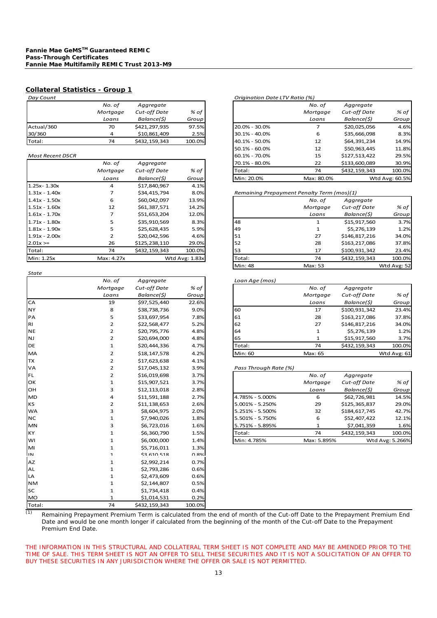| Day Count  |          |                     |        |
|------------|----------|---------------------|--------|
|            | No. of   | Aggregate           |        |
|            | Mortgage | <b>Cut-off Date</b> | % of   |
|            | Loans    | Balance(\$)         | Group  |
| Actual/360 | 70       | \$421,297,935       | 97.5%  |
| 30/360     | 4        | \$10,861,409        | 2.5%   |
| Total:     | 74       | \$432,159,343       | 100.0% |

#### $Most Recent DSCR$

|                 | No. of     | Aggregate     |                | 70.1% - 80.0% | 22                                         | \$133,600,08 |
|-----------------|------------|---------------|----------------|---------------|--------------------------------------------|--------------|
|                 | Mortgage   | Cut-off Date  | % of           | Total:        | 74                                         | \$432,159,34 |
|                 | Loans      | Balance(\$)   | Group          | Min: 20.0%    | Max: 80.0%                                 |              |
| $1.25x - 1.30x$ | 4          | \$17,840,967  | 4.1%           |               |                                            |              |
| $1.31x - 1.40x$ |            | \$34,415,794  | 8.0%           |               | Remaining Prepayment Penalty Term (mos)(1) |              |
| $1.41x - 1.50x$ | 6          | \$60,042,097  | 13.9%          |               | No. of                                     | Aggregate    |
| $1.51x - 1.60x$ | 12         | \$61,387,571  | 14.2%          |               | Mortgage                                   | Cut-off Dat  |
| $1.61x - 1.70x$ | 7          | \$51,653,204  | 12.0%          |               | Loans                                      | Balance(\$)  |
| $1.71x - 1.80x$ | 5          | \$35,910,569  | 8.3%           | 48            |                                            | \$15,917,56  |
| $1.81x - 1.90x$ | 5          | \$25,628,435  | 5.9%           | 49            |                                            | \$5,276,13   |
| $1.91x - 2.00x$ | 2          | \$20,042,596  | 4.6%           | 51            | 27                                         | \$146,817,21 |
| $2.01x =$       | 26         | \$125,238,110 | 29.0%          | 52            | 28                                         | \$163,217,08 |
| Total:          | 74         | \$432,159,343 | 100.0%         | 53            | 17                                         | \$100,931,34 |
| Min: 1.25x      | Max: 4.27x |               | Wtd Avg: 1.83x | Total:        | 74                                         | \$432,159,34 |
|                 |            |               |                |               |                                            |              |

| <b>State</b> |                |               |        |                       |              |               |                 |
|--------------|----------------|---------------|--------|-----------------------|--------------|---------------|-----------------|
|              | No. of         | Aggregate     |        | Loan Age (mos)        |              |               |                 |
|              | Mortgage       | Cut-off Date  | % of   |                       | No. of       | Aggregate     |                 |
|              | Loans          | Balance(\$)   | Group  |                       | Mortgage     | Cut-off Date  | % of            |
| CA           | 19             | \$97,525,440  | 22.6%  |                       | Loans        | Balance(\$)   | Group           |
| <b>NY</b>    | 8              | \$38,738,736  | 9.0%   | 60                    | 17           | \$100,931,342 | 23.4%           |
| PA           | 5              | \$33,697,954  | 7.8%   | 61                    | 28           | \$163,217,086 | 37.8%           |
| <b>RI</b>    | $\overline{2}$ | \$22,568,477  | 5.2%   | 62                    | 27           | \$146,817,216 | 34.0%           |
| <b>NE</b>    | 2              | \$20,795,776  | 4.8%   | 64                    | 1            | \$5,276,139   | 1.2%            |
| <b>NJ</b>    | $\overline{2}$ | \$20,694,000  | 4.8%   | 65                    | 1            | \$15,917,560  | 3.7%            |
| <b>DE</b>    | 1              | \$20,444,336  | 4.7%   | Total:                | 74           | \$432,159,343 | 100.0%          |
| MA           | $\overline{2}$ | \$18,147,578  | 4.2%   | Min: 60               | Max: 65      |               | Wtd Avg: 61     |
| <b>TX</b>    | 2              | \$17,623,638  | 4.1%   |                       |              |               |                 |
| VA           | $\overline{2}$ | \$17,045,132  | 3.9%   | Pass Through Rate (%) |              |               |                 |
| <b>FL</b>    | $\overline{2}$ | \$16,019,698  | 3.7%   |                       | No. of       | Aggregate     |                 |
| OK           | 1              | \$15,907,521  | 3.7%   |                       | Mortgage     | Cut-off Date  | % of            |
| <b>OH</b>    | 3              | \$12,113,018  | 2.8%   |                       | Loans        | Balance(\$)   | Group           |
| <b>MD</b>    | 4              | \$11,591,188  | 2.7%   | 4.785% - 5.000%       | 6            | \$62,726,981  | 14.5%           |
| <b>KS</b>    | $\overline{2}$ | \$11,138,653  | 2.6%   | 5.001% - 5.250%       | 29           | \$125,365,837 | 29.0%           |
| <b>WA</b>    | 3              | \$8,604,975   | 2.0%   | 5.251% - 5.500%       | 32           | \$184,617,745 | 42.7%           |
| <b>NC</b>    | 1              | \$7,940,026   | 1.8%   | 5.501% - 5.750%       | 6            | \$52,407,422  | 12.1%           |
| <b>MN</b>    | 3              | \$6,723,016   | 1.6%   | 5.751% - 5.895%       | $\mathbf{1}$ | \$7,041,359   | 1.6%            |
| <b>KY</b>    | $\mathbf{1}$   | \$6,360,790   | 1.5%   | Total:                | 74           | \$432,159,343 | 100.0%          |
| WI           | $\mathbf{1}$   | \$6,000,000   | 1.4%   | Min: 4.785%           | Max: 5.895%  |               | Wtd Avg: 5.266% |
| MI           | 1              | \$5,716,011   | 1.3%   |                       |              |               |                 |
| IN           | 1              | \$3,610,518   | በ Ջ%   |                       |              |               |                 |
| AZ           | 1              | \$2,992,214   | 0.7%   |                       |              |               |                 |
| AL           | 1              | \$2,793,286   | 0.6%   |                       |              |               |                 |
| LA           | $\mathbf{1}$   | \$2,473,609   | 0.6%   |                       |              |               |                 |
| <b>NM</b>    | 1              | \$2,144,807   | 0.5%   |                       |              |               |                 |
| <b>SC</b>    | 1              | \$1,734,418   | 0.4%   |                       |              |               |                 |
| <b>MO</b>    | $\mathbf{1}$   | \$1,014,531   | 0.2%   |                       |              |               |                 |
| Total:       | 74             | \$432,159,343 | 100.0% |                       |              |               |                 |

#### *Day Count Origination Date LTV Ratio (%)*

|                  | No. of   | Aggregate           |        |                   | No. of     | Aggregate           |                |
|------------------|----------|---------------------|--------|-------------------|------------|---------------------|----------------|
|                  | Mortgage | <b>Cut-off Date</b> | % of   |                   | Mortgage   | <b>Cut-off Date</b> | $%$ of         |
|                  | Loans    | Balance(\$)         | Group  |                   | Loans      | Balance(\$)         | Group          |
| Actual/360       | 70       | \$421,297,935       | 97.5%  | $20.0\% - 30.0\%$ |            | \$20,025,056        | 4.6%           |
| 30/360           | 4        | \$10,861,409        | 2.5%   | 30.1% - 40.0%     | 6          | \$35,666,098        | 8.3%           |
| Total:           | 74       | \$432,159,343       | 100.0% | 40.1% - 50.0%     | 12         | \$64,391,234        | 14.9%          |
|                  |          |                     |        | $50.1\% - 60.0\%$ | 12         | \$50,963,445        | 11.8%          |
| Most Recent DSCR |          |                     |        | 60.1% - 70.0%     | 15         | \$127,513,422       | 29.5%          |
|                  | No. of   | Aggregate           |        | 70.1% - 80.0%     | 22         | \$133,600,089       | 30.9%          |
|                  | Mortgage | <b>Cut-off Date</b> | % of   | Total:            | 74         | \$432,159,343       | 100.0%         |
|                  | Loans    | Balance(\$)         | Group  | Min: 20.0%        | Max: 80.0% |                     | Wtd Avg: 60.5% |

#### 1.31x ‐ 1.40x 7 \$34,415,794 8.0% *Remaining Prepayment Penalty Term (mos)(1)*

| 1.41x - 1.50x   | 6          | \$60,042,097  | 13.9%          |           | No. of   | Aggregate           |             |
|-----------------|------------|---------------|----------------|-----------|----------|---------------------|-------------|
| 1.51x - 1.60x   | 12         | \$61,387,571  | 14.2%          |           | Mortgage | <b>Cut-off Date</b> | $%$ of      |
| $1.61x - 1.70x$ |            | \$51,653,204  | 12.0%          |           | Loans    | Balance(\$)         | Group       |
| $1.71x - 1.80x$ |            | \$35,910,569  | 8.3%           | 48        |          | \$15,917,560        | 3.7%        |
| 1.81x - 1.90x   | 5          | \$25,628,435  | 5.9%           | <b>49</b> | ᅩ        | \$5,276,139         | 1.2%        |
| $1.91x - 2.00x$ |            | \$20,042,596  | 4.6%           | 51        | 27       | \$146,817,216       | 34.0%       |
| $2.01x =$       | 26         | \$125,238,110 | 29.0%          | <b>52</b> | 28       | \$163,217,086       | 37.8%       |
| Total:          | 74         | \$432,159,343 | 100.0%         | <b>53</b> | 17       | \$100,931,342       | 23.4%       |
| Min: 1.25x      | Max: 4.27x |               | Wtd Avg: 1.83x | Total:    | 74       | \$432,159,343       | 100.0%      |
|                 |            |               |                | Min: 48   | Max: 53  |                     | Wtd Avg: 52 |

#### *No. of Aggregate Loan Age (mos)*

|     | Mortgage | Cut-off Date | % of  |         | No. of   | Aggregate     |              |
|-----|----------|--------------|-------|---------|----------|---------------|--------------|
|     | Loans    | Balance(\$)  | Group |         | Mortgage | Cut-off Date  | $%$ of       |
| СA  | 19       | \$97,525,440 | 22.6% |         | Loans    | Balance(\$)   | <b>Group</b> |
| NY  | 8        | \$38,738,736 | 9.0%  | 60      | 17       | \$100,931,342 | 23.4%        |
| PA  | 5        | \$33,697,954 | 7.8%  | 61      | 28       | \$163,217,086 | 37.8%        |
| RI  |          | \$22,568,477 | 5.2%  | 62      | 27       | \$146,817,216 | 34.0%        |
| NE. |          | \$20,795,776 | 4.8%  | 64      |          | \$5,276,139   | 1.2%         |
| NJ  |          | \$20,694,000 | 4.8%  | 65      |          | \$15,917,560  | 3.7%         |
| DE  |          | \$20,444,336 | 4.7%  | Total:  | 74       | \$432,159,343 | 100.0%       |
| MA  |          | \$18,147,578 | 4.2%  | Min: 60 | Max: 65  |               | Wtd Avg: 61  |

#### $Pass$  *Through Rate* (%)

| FL. |   | \$16,019,698 | 3.7% |                 | No. of      | Aggregate     |                 |
|-----|---|--------------|------|-----------------|-------------|---------------|-----------------|
| ОΚ  |   | \$15,907,521 | 3.7% |                 | Mortgage    | Cut-off Date  | $%$ of          |
| OН  | 3 | \$12,113,018 | 2.8% |                 | Loans       | Balance(\$)   | Group           |
| MD. |   | \$11,591,188 | 2.7% | 4.785% - 5.000% | 6           | \$62,726,981  | 14.5%           |
| ΚS  |   | \$11,138,653 | 2.6% | 5.001% - 5.250% | 29          | \$125,365,837 | 29.0%           |
| WA  |   | \$8,604,975  | 2.0% | 5.251% - 5.500% | 32          | \$184,617,745 | 42.7%           |
| NC. |   | \$7,940,026  | 1.8% | 5.501% - 5.750% | 6           | \$52,407,422  | 12.1%           |
| MN  |   | \$6,723,016  | 1.6% | 5.751% - 5.895% |             | \$7,041,359   | 1.6%            |
| КY  |   | \$6,360,790  | 1.5% | Total:          | 74          | \$432,159,343 | 100.0%          |
| wı  |   | \$6,000,000  | 1.4% | Min: 4.785%     | Max: 5.895% |               | Wtd Avg: 5.266% |

 $\overline{p}$  Remaining Prepayment Premium Term is calculated from the end of month of the Cut-off Date to the Prepayment Premium End Date and would be one month longer if calculated from the beginning of the month of the Cut-off Date to the Prepayment Premium End Date.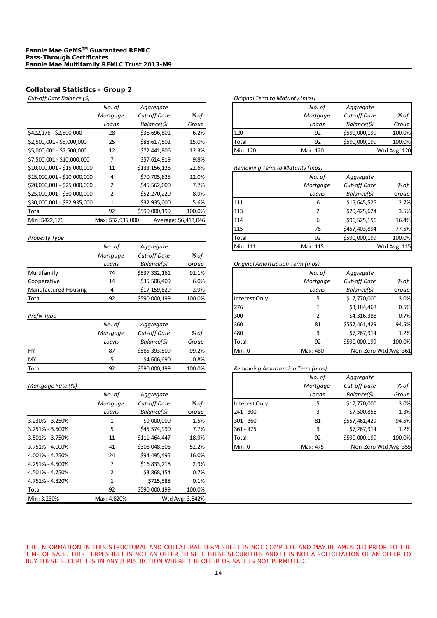| Cut-off Date Balance (\$)   |                   |               |                      | Original Term to Maturity (mos)  |               |             |
|-----------------------------|-------------------|---------------|----------------------|----------------------------------|---------------|-------------|
|                             | No. of            | Aggregate     |                      | No. of                           | Aggregate     |             |
|                             | Mortgage          | Cut-off Date  | % of                 | Mortgage                         | Cut-off Date  | % 0]        |
|                             | Loans             | Balance(\$)   | Group                | Loans                            | Balance(\$)   | Grou        |
| \$422,176 - \$2,500,000     | 28                | \$36,696,801  | 6.2%                 | 120<br>92                        | \$590,000,199 | 100.09      |
| \$2,500,001 - \$5,000,000   | 25                | \$88,617,502  | 15.0%                | Total:<br>92                     | \$590,000,199 | 100.09      |
| \$5,000,001 - \$7,500,000   | 12                | \$72,441,806  | 12.3%                | Min: 120<br>Max: 120             |               | Wtd Avg: 12 |
| \$7,500,001 - \$10,000,000  |                   | \$57,614,919  | 9.8%                 |                                  |               |             |
| \$10,000,001 - \$15,000,000 | 11                | \$133,156,126 | 22.6%                | Remaining Term to Maturity (mos) |               |             |
| \$15,000,001 - \$20,000,000 | 4                 | \$70,705,825  | 12.0%                | No. of                           | Aggregate     |             |
| \$20,000,001 - \$25,000,000 | 2                 | \$45,562,000  | 7.7%                 | Mortgage                         | Cut-off Date  | $%$ O]      |
| \$25,000,001 - \$30,000,000 | 2                 | \$52,270,220  | 8.9%                 | Loans                            | Balance(\$)   | Grou        |
| \$30,000,001 - \$32,935,000 |                   | \$32,935,000  | 5.6%                 | 111<br>6                         | \$15,645,525  | 2.79        |
| Total:                      | 92                | \$590,000,199 | 100.0%               | 113                              | \$20,425,624  | 3.5%        |
| Min: \$422,176              | Max: \$32,935,000 |               | Average: \$6,413,046 | 114<br>6                         | \$96,525,156  | 16.49       |

|                      | No. of   | Aggregate     |              | Min: 111<br>Max: 115             |              | Wtd Avg: 11 |
|----------------------|----------|---------------|--------------|----------------------------------|--------------|-------------|
|                      | Mortgage | Cut-off Date  | $%$ of       |                                  |              |             |
|                      | Loans    | Balance(\$)   | <b>Group</b> | Original Amortization Term (mos) |              |             |
| Multifamily          | 74       | \$537,332,161 | 91.1%        | No. of                           | Aggregate    |             |
| Cooperative          | 14       | \$35,508,409  | 6.0%         | Mortgage                         | Cut-off Date | $%$ O]      |
| Manufactured Housing | Δ        | \$17,159,629  | 2.9%         | Loans                            | Balance(\$)  | Groul       |
| Total:               | 92       | \$590,000,199 | 100.0%       | Interest Only                    | \$17,770,000 | 3.09        |

|        | No. of   | Aggregate     |        |
|--------|----------|---------------|--------|
|        | Mortgage | Cut-off Date  | % of   |
|        | Loans    | Balance(\$)   | Group  |
| HY     | 87       | \$585,393,509 | 99.2%  |
| MY     | 5        | \$4,606,690   | 0.8%   |
| Total: | 92       | \$590,000,199 | 100.0% |

#### *Mortgage Rate (%) Mortgage Cut‐off Date % of*

|                     | No. of      | Aggregate     |                 |
|---------------------|-------------|---------------|-----------------|
|                     | Mortgage    | Cut-off Date  | % of            |
|                     | Loans       | Balance(\$)   | Group           |
| 3.230% - 3.250%     | 1           | \$9,000,000   | 1.5%            |
| 3.251% - 3.500%     | 5           | \$45,574,990  | 7.7%            |
| 3.501% - 3.750%     | 11          | \$111,464,447 | 18.9%           |
| $3.751\% - 4.000\%$ | 41          | \$308,048,306 | 52.2%           |
| 4.001% - 4.250%     | 24          | \$94,495,495  | 16.0%           |
| 4.251% - 4.500%     | 7           | \$16,833,218  | 2.9%            |
| 4.501% - 4.750%     | 2           | \$3,868,154   | 0.7%            |
| 4.751% - 4.820%     | 1           | \$715,588     | 0.1%            |
| Total:              | 92          | \$590,000,199 | 100.0%          |
| Min: 3.230%         | Max: 4.820% |               | Wtd Avg: 3.842% |

|                           | No. of   | Aggregate    |       |          | No. of   | Aggregate     |              |
|---------------------------|----------|--------------|-------|----------|----------|---------------|--------------|
|                           | Mortgage | Cut-off Date | % of  |          | Mortgage | Cut-off Date  | % of         |
|                           | Loans    | Balance(\$)  | Group |          | Loans    | Balance(\$)   | Group        |
| \$422,176 - \$2,500,000   | 28       | \$36,696,801 | 6.2%  | 120      | 92       | \$590,000,199 | 100.0%       |
| \$2,500,001 - \$5,000,000 | 25       | \$88,617,502 | 15.0% | Total:   | 92       | \$590,000,199 | 100.0%       |
| \$5,000,001 - \$7,500,000 | 12       | \$72,441,806 | 12.3% | Min: 120 | Max: 120 |               | Wtd Avg: 120 |
|                           |          |              |       |          |          |               |              |

# $R$ emaining Term to Maturity (mos) \$25,000,001 ‐ \$30,000,000 2 \$52,270,220 8.9% *Loans Balance(\$) Group* \$30,000,001 ‐ \$32,935,000 1 \$32,935,000 5.6% 111 6 \$15,645,525 2.7% Total: 92 \$590,000,199 100.0% 113 2 \$20,425,624 3.5% Min: \$422,176 Max: \$32,935,000 Average: \$6,413,046 114 \$96,525,156 16.4% 115 78 \$457,403,894 77.5% *Property Type* Total: 92 \$590,000,199 100.0% **Min: 111 Max: 115 Wtd Avg: 115**

#### *Loans Balance(\$) Group Original Amortization Term (mos)*

| Multifamily          | 74       | \$537,332,161 | 91.1%  |               | No. of   | Aggregate             |        |
|----------------------|----------|---------------|--------|---------------|----------|-----------------------|--------|
| Cooperative          | 14       | \$35,508,409  | 6.0%   |               | Mortgage | Cut-off Date          | $%$ of |
| Manufactured Housing | 4        | \$17,159,629  | 2.9%   |               | Loans    | Balance(\$)           | Group  |
| Total:               | 92       | \$590,000,199 | 100.0% | Interest Only | 5        | \$17,770,000          | 3.0%   |
|                      |          |               |        | 276           |          | \$3,184,468           | 0.5%   |
| Prefix Type          |          |               |        | 300           |          | \$4,316,388           | 0.7%   |
|                      | No. of   | Aggregate     |        | 360           | 81       | \$557,461,429         | 94.5%  |
|                      | Mortgage | Cut-off Date  | % of   | 480           |          | \$7,267,914           | 1.2%   |
|                      | Loans    | Balance(\$)   | Group  | Total:        | 92       | \$590,000,199         | 100.0% |
| HY                   | 87       | \$585,393,509 | 99.2%  | Min: 0        | Max: 480 | Non-Zero Wtd Avg: 361 |        |
|                      |          |               |        |               |          |                       |        |

#### Total: 92 \$590,000,199 100.0% *Remaining Amortization Term (mos)*

| Mortgage Rate (%) |          |               |       |             |               | No. of<br>Mortgage | Aggregate<br>Cut-off Date | $%$ of |
|-------------------|----------|---------------|-------|-------------|---------------|--------------------|---------------------------|--------|
|                   | No. of   | Aggregate     |       |             |               | Loans              | Balance(\$)               | Group  |
|                   | Mortgage | Cut-off Date  | % of  |             | Interest Only | כ                  | \$17,770,000              | 3.0%   |
|                   | Loans    | Balance(\$)   | Group | $241 - 300$ |               |                    | \$7,500,856               | 1.3%   |
| 3.230% - 3.250%   |          | \$9,000,000   | 1.5%  | $301 - 360$ |               | 81                 | \$557,461,429             | 94.5%  |
| 3.251% - 3.500%   |          | \$45,574,990  | 7.7%  | $361 - 475$ |               |                    | \$7,267,914               | 1.2%   |
| 3.501% - 3.750%   | 11       | \$111,464,447 | 18.9% | Total:      |               | 92                 | \$590,000,199             | 100.0% |
| 3.751% - 4.000%   | 41       | \$308,048,306 | 52.2% | Min: 0      |               | Max: 475           | Non-Zero Wtd Avg: 355     |        |